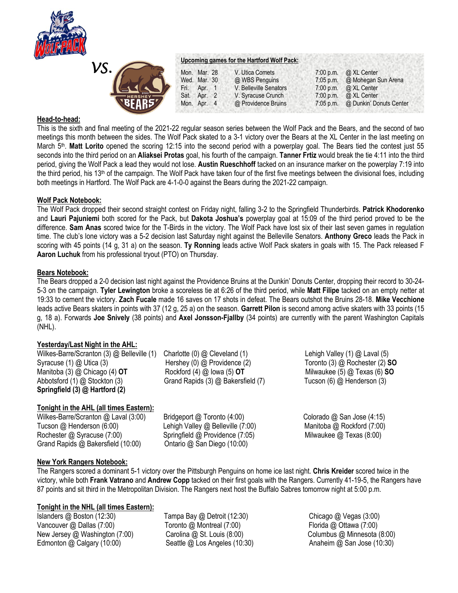

| VS. |                |
|-----|----------------|
|     | ,,,,,          |
|     | <b>HERSHEY</b> |

# **Upcoming games for the Hartford Wolf Pack:**

|                | Mon. Mar. 28   |  | V. Utica Comets        | 7:00 p.m.   | @ XL Center             |
|----------------|----------------|--|------------------------|-------------|-------------------------|
|                | Wed. Mar. 30   |  | @ WBS Penguins         | $7:05$ p.m. | @ Mohegan Sun Arena     |
| IG             | Fri.<br>Apr. 1 |  | V. Belleville Senators | $7:00$ p.m. | @ XL Center             |
| <b>HERSHEY</b> | Sat. Apr. 2    |  | V. Syracuse Crunch     | 7:00 p.m.   | @ XL Center             |
| <b>NBFAR5%</b> | Mon. Apr. 4    |  | @ Providence Bruins    | $7:05$ p.m. | @ Dunkin' Donuts Center |

### **Head-to-head:**

This is the sixth and final meeting of the 2021-22 regular season series between the Wolf Pack and the Bears, and the second of two meetings this month between the sides. The Wolf Pack skated to a 3-1 victory over the Bears at the XL Center in the last meeting on March 5th . **Matt Lorito** opened the scoring 12:15 into the second period with a powerplay goal. The Bears tied the contest just 55 seconds into the third period on an **Aliaksei Protas** goal, his fourth of the campaign. **Tanner Frtiz** would break the tie 4:11 into the third period, giving the Wolf Pack a lead they would not lose. **Austin Rueschhoff** tacked on an insurance marker on the powerplay 7:19 into the third period, his 13<sup>th</sup> of the campaign. The Wolf Pack have taken four of the first five meetings between the divisional foes, including both meetings in Hartford. The Wolf Pack are 4-1-0-0 against the Bears during the 2021-22 campaign.

#### **Wolf Pack Notebook:**

The Wolf Pack dropped their second straight contest on Friday night, falling 3-2 to the Springfield Thunderbirds. **Patrick Khodorenko**  and **Lauri Pajuniemi** both scored for the Pack, but **Dakota Joshua's** powerplay goal at 15:09 of the third period proved to be the difference. **Sam Anas** scored twice for the T-Birds in the victory. The Wolf Pack have lost six of their last seven games in regulation time. The club's lone victory was a 5-2 decision last Saturday night against the Belleville Senators. **Anthony Greco** leads the Pack in scoring with 45 points (14 g, 31 a) on the season. **Ty Ronning** leads active Wolf Pack skaters in goals with 15. The Pack released F **Aaron Luchuk** from his professional tryout (PTO) on Thursday.

#### **Bears Notebook:**

The Bears dropped a 2-0 decision last night against the Providence Bruins at the Dunkin' Donuts Center, dropping their record to 30-24- 5-3 on the campaign. **Tyler Lewington** broke a scoreless tie at 6:26 of the third period, while **Matt Filipe** tacked on an empty netter at 19:33 to cement the victory. **Zach Fucale** made 16 saves on 17 shots in defeat. The Bears outshot the Bruins 28-18. **Mike Vecchione**  leads active Bears skaters in points with 37 (12 g, 25 a) on the season. **Garrett Pilon** is second among active skaters with 33 points (15 g, 18 a). Forwards **Joe Snively** (38 points) and **Axel Jonsson-Fjallby** (34 points) are currently with the parent Washington Capitals (NHL).

## **Yesterday/Last Night in the AHL:**

Wilkes-Barre/Scranton (3) @ Belleville (1) Charlotte (0) @ Cleveland (1) Lehigh Valley (1) @ Laval (5) Syracuse (1) @ Utica (3) **Hershey (0) @ Providence (2)** Toronto (3) @ Rochester (2) **SO** Manitoba (3) @ Chicago (4) **OT** Rockford (4) @ Iowa (5) **OT** Milwaukee (5) @ Texas (6) **SO** Abbotsford (1) @ Stockton (3) Grand Rapids (3) @ Bakersfield (7) Tucson (6) @ Henderson (3) **Springfield (3) @ Hartford (2)** 

## **Tonight in the AHL (all times Eastern):**

Wilkes-Barre/Scranton @ Laval (3:00) Bridgeport @ Toronto (4:00) Colorado @ San Jose (4:15) Tucson @ Henderson (6:00) Lehigh Valley @ Belleville (7:00) Manitoba @ Rockford (7:00) Rochester @ Syracuse (7:00) Springfield @ Providence (7:05) Milwaukee @ Texas (8:00) Grand Rapids @ Bakersfield (10:00) Ontario @ San Diego (10:00)

## **New York Rangers Notebook:**

The Rangers scored a dominant 5-1 victory over the Pittsburgh Penguins on home ice last night. **Chris Kreider** scored twice in the victory, while both **Frank Vatrano** and **Andrew Copp** tacked on their first goals with the Rangers. Currently 41-19-5, the Rangers have 87 points and sit third in the Metropolitan Division. The Rangers next host the Buffalo Sabres tomorrow night at 5:00 p.m.

## **Tonight in the NHL (all times Eastern):**

Islanders @ Boston (12:30) Tampa Bay @ Detroit (12:30) Chicago @ Vegas (3:00) Vancouver @ Dallas (7:00) Toronto @ Montreal (7:00) Tronto The Florida @ Ottawa (7:00) New Jersey @ Washington (7:00) Carolina @ St. Louis (8:00) Columbus @ Minnesota (8:00) Edmonton @ Calgary (10:00) Seattle @ Los Angeles (10:30) Anaheim @ San Jose (10:30)